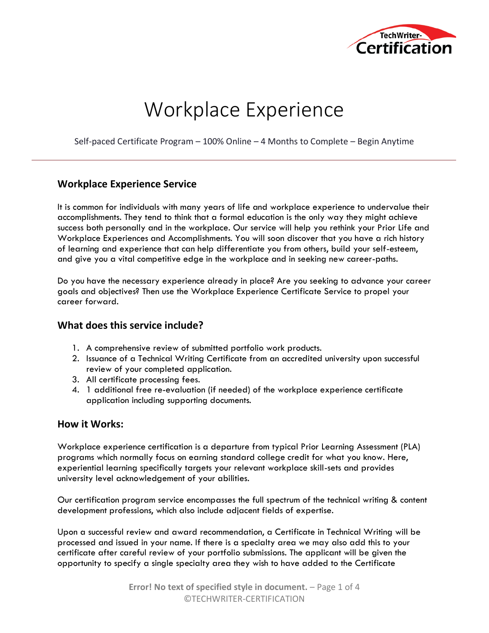

# Workplace Experience

Self-paced Certificate Program – 100% Online – 4 Months to Complete – Begin Anytime

## **Workplace Experience Service**

It is common for individuals with many years of life and workplace experience to undervalue their accomplishments. They tend to think that a formal education is the only way they might achieve success both personally and in the workplace. Our service will help you rethink your Prior Life and Workplace Experiences and Accomplishments. You will soon discover that you have a rich history of learning and experience that can help differentiate you from others, build your self-esteem, and give you a vital competitive edge in the workplace and in seeking new career-paths.

Do you have the necessary experience already in place? Are you seeking to advance your career goals and objectives? Then use the Workplace Experience Certificate Service to propel your career forward.

## **What does this service include?**

- 1. A comprehensive review of submitted portfolio work products.
- 2. Issuance of a Technical Writing Certificate from an accredited university upon successful review of your completed application.
- 3. All certificate processing fees.
- 4. 1 additional free re-evaluation (if needed) of the workplace experience certificate application including supporting documents.

## **How it Works:**

Workplace experience certification is a departure from typical Prior Learning Assessment (PLA) programs which normally focus on earning standard college credit for what you know. Here, experiential learning specifically targets your relevant workplace skill-sets and provides university level acknowledgement of your abilities.

Our certification program service encompasses the full spectrum of the technical writing & content development professions, which also include adjacent fields of expertise.

Upon a successful review and award recommendation, a Certificate in Technical Writing will be processed and issued in your name. If there is a specialty area we may also add this to your certificate after careful review of your portfolio submissions. The applicant will be given the opportunity to specify a single specialty area they wish to have added to the Certificate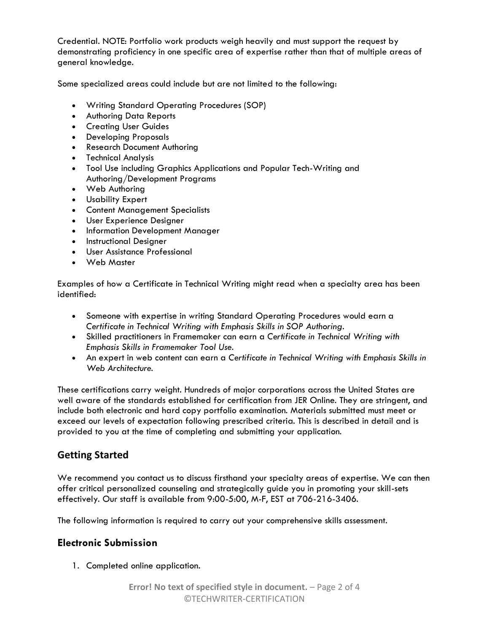Credential. NOTE: Portfolio work products weigh heavily and must support the request by demonstrating proficiency in one specific area of expertise rather than that of multiple areas of general knowledge.

Some specialized areas could include but are not limited to the following:

- Writing Standard Operating Procedures (SOP)
- Authoring Data Reports
- Creating User Guides
- Developing Proposals
- Research Document Authoring
- Technical Analysis
- Tool Use including Graphics Applications and Popular Tech-Writing and Authoring/Development Programs
- Web Authoring
- Usability Expert
- Content Management Specialists
- User Experience Designer
- Information Development Manager
- Instructional Designer
- User Assistance Professional
- Web Master

Examples of how a Certificate in Technical Writing might read when a specialty area has been identified:

- Someone with expertise in writing Standard Operating Procedures would earn a *Certificate in Technical Writing with Emphasis Skills in SOP Authoring.*
- Skilled practitioners in Framemaker can earn a *Certificate in Technical Writing with Emphasis Skills in Framemaker Tool Use.*
- An expert in web content can earn a *Certificate in Technical Writing with Emphasis Skills in Web Architecture.*

These certifications carry weight. Hundreds of major corporations across the United States are well aware of the standards established for certification from JER Online. They are stringent, and include both electronic and hard copy portfolio examination. Materials submitted must meet or exceed our levels of expectation following prescribed criteria. This is described in detail and is provided to you at the time of completing and submitting your application.

## **Getting Started**

We recommend you contact us to discuss firsthand your specialty areas of expertise. We can then offer critical personalized counseling and strategically guide you in promoting your skill-sets effectively. Our staff is available from 9:00-5:00, M-F, EST at 706-216-3406.

The following information is required to carry out your comprehensive skills assessment.

## **Electronic Submission**

1. Completed online application.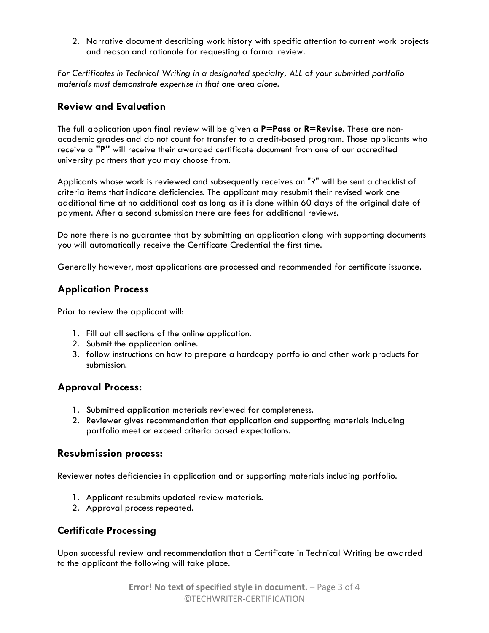2. Narrative document describing work history with specific attention to current work projects and reason and rationale for requesting a formal review.

*For Certificates in Technical Writing in a designated specialty, ALL of your submitted portfolio materials must demonstrate expertise in that one area alone.*

## **Review and Evaluation**

The full application upon final review will be given a **P=Pass** or **R=Revise**. These are nonacademic grades and do not count for transfer to a credit-based program. Those applicants who receive a **"P"** will receive their awarded certificate document from one of our accredited university partners that you may choose from.

Applicants whose work is reviewed and subsequently receives an "R" will be sent a checklist of criteria items that indicate deficiencies. The applicant may resubmit their revised work one additional time at no additional cost as long as it is done within 60 days of the original date of payment. After a second submission there are fees for additional reviews.

Do note there is no guarantee that by submitting an application along with supporting documents you will automatically receive the Certificate Credential the first time.

Generally however, most applications are processed and recommended for certificate issuance.

## **Application Process**

Prior to review the applicant will:

- 1. Fill out all sections of the online application.
- 2. Submit the application online.
- 3. follow instructions on how to prepare a hardcopy portfolio and other work products for submission.

## **Approval Process:**

- 1. Submitted application materials reviewed for completeness.
- 2. Reviewer gives recommendation that application and supporting materials including portfolio meet or exceed criteria based expectations.

## **Resubmission process:**

Reviewer notes deficiencies in application and or supporting materials including portfolio.

- 1. Applicant resubmits updated review materials.
- 2. Approval process repeated.

## **Certificate Processing**

Upon successful review and recommendation that a Certificate in Technical Writing be awarded to the applicant the following will take place.